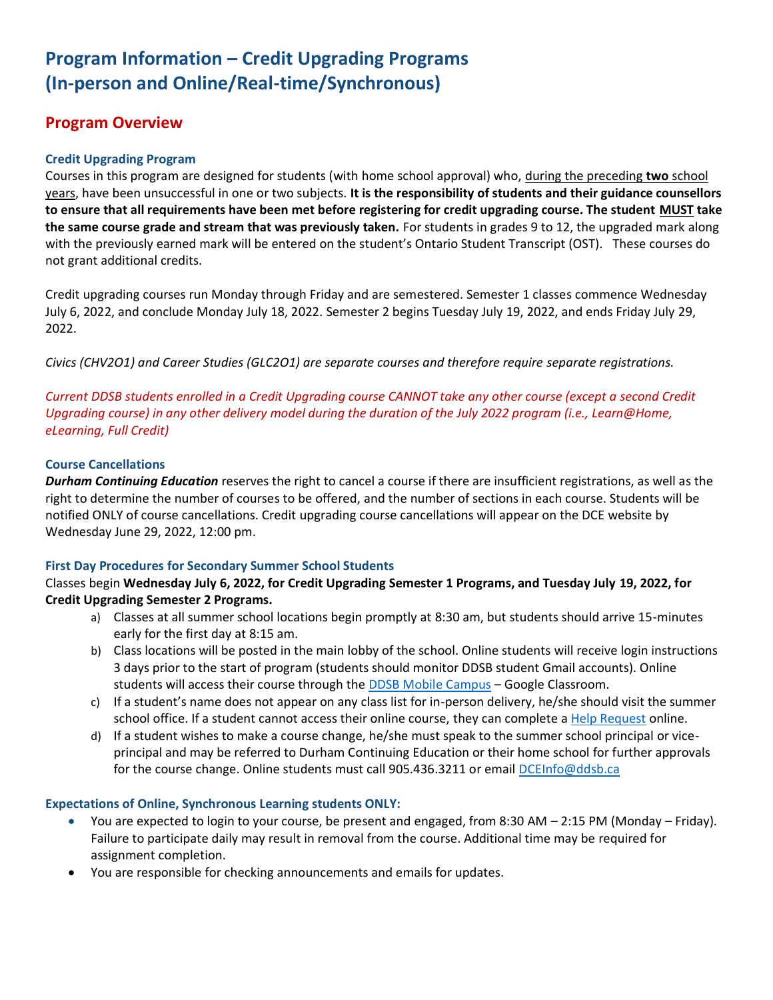# **Program Information – Credit Upgrading Programs (In-person and Online/Real-time/Synchronous)**

# **Program Overview**

# **Credit Upgrading Program**

Courses in this program are designed for students (with home school approval) who, during the preceding **two** school years, have been unsuccessful in one or two subjects. **It is the responsibility of students and their guidance counsellors to ensure that all requirements have been met before registering for credit upgrading course. The student MUST take the same course grade and stream that was previously taken***.* For students in grades 9 to 12, the upgraded mark along with the previously earned mark will be entered on the student's Ontario Student Transcript (OST). These courses do not grant additional credits.

Credit upgrading courses run Monday through Friday and are semestered. Semester 1 classes commence Wednesday July 6, 2022, and conclude Monday July 18, 2022. Semester 2 begins Tuesday July 19, 2022, and ends Friday July 29, 2022.

*Civics (CHV2O1) and Career Studies (GLC2O1) are separate courses and therefore require separate registrations.*

*Current DDSB students enrolled in a Credit Upgrading course CANNOT take any other course (except a second Credit Upgrading course) in any other delivery model during the duration of the July 2022 program (i.e., Learn@Home, eLearning, Full Credit)*

# **Course Cancellations**

*Durham Continuing Education* reserves the right to cancel a course if there are insufficient registrations, as well as the right to determine the number of courses to be offered, and the number of sections in each course. Students will be notified ONLY of course cancellations. Credit upgrading course cancellations will appear on the DCE website by Wednesday June 29, 2022, 12:00 pm.

# **First Day Procedures for Secondary Summer School Students**

# Classes begin **Wednesday July 6, 2022, for Credit Upgrading Semester 1 Programs, and Tuesday July 19, 2022, for Credit Upgrading Semester 2 Programs.**

- a) Classes at all summer school locations begin promptly at 8:30 am, but students should arrive 15-minutes early for the first day at 8:15 am.
- b) Class locations will be posted in the main lobby of the school. Online students will receive login instructions 3 days prior to the start of program (students should monitor DDSB student Gmail accounts). Online students will access their course through the [DDSB Mobile Campus](https://student.ddsb.ca/) - Google Classroom.
- c) If a student's name does not appear on any class list for in-person delivery, he/she should visit the summer school office. If a student cannot access their online course, they can complete a [Help Request](https://forms.office.com/r/2YACHFju1b) online.
- d) If a student wishes to make a course change, he/she must speak to the summer school principal or viceprincipal and may be referred to Durham Continuing Education or their home school for further approvals for the course change. Online students must call 905.436.3211 or email [DCEInfo@ddsb.ca](mailto:DCEInfo@ddsb.ca)

# **Expectations of Online, Synchronous Learning students ONLY:**

- You are expected to login to your course, be present and engaged, from 8:30 AM 2:15 PM (Monday Friday). Failure to participate daily may result in removal from the course. Additional time may be required for assignment completion.
- You are responsible for checking announcements and emails for updates.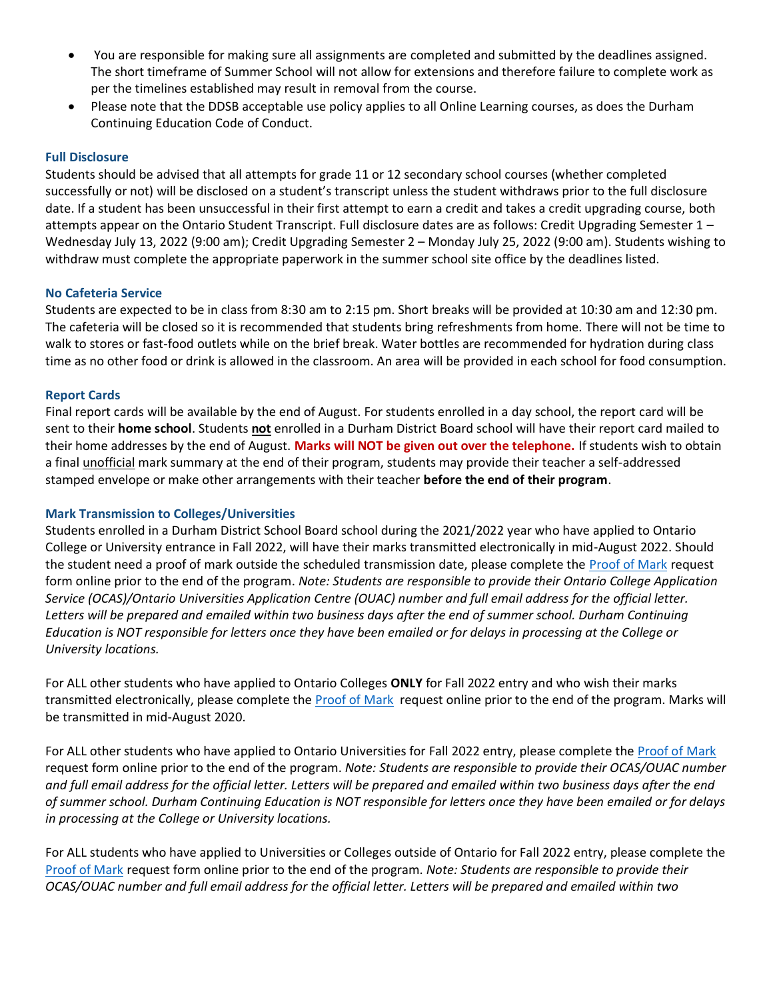- You are responsible for making sure all assignments are completed and submitted by the deadlines assigned. The short timeframe of Summer School will not allow for extensions and therefore failure to complete work as per the timelines established may result in removal from the course.
- Please note that the DDSB acceptable use policy applies to all Online Learning courses, as does the Durham Continuing Education Code of Conduct.

#### **Full Disclosure**

Students should be advised that all attempts for grade 11 or 12 secondary school courses (whether completed successfully or not) will be disclosed on a student's transcript unless the student withdraws prior to the full disclosure date. If a student has been unsuccessful in their first attempt to earn a credit and takes a credit upgrading course, both attempts appear on the Ontario Student Transcript. Full disclosure dates are as follows: Credit Upgrading Semester 1 – Wednesday July 13, 2022 (9:00 am); Credit Upgrading Semester 2 – Monday July 25, 2022 (9:00 am). Students wishing to withdraw must complete the appropriate paperwork in the summer school site office by the deadlines listed.

#### **No Cafeteria Service**

Students are expected to be in class from 8:30 am to 2:15 pm. Short breaks will be provided at 10:30 am and 12:30 pm. The cafeteria will be closed so it is recommended that students bring refreshments from home. There will not be time to walk to stores or fast-food outlets while on the brief break. Water bottles are recommended for hydration during class time as no other food or drink is allowed in the classroom. An area will be provided in each school for food consumption.

### **Report Cards**

Final report cards will be available by the end of August. For students enrolled in a day school, the report card will be sent to their **home school**. Students **not** enrolled in a Durham District Board school will have their report card mailed to their home addresses by the end of August. **Marks will NOT be given out over the telephone.** If students wish to obtain a final unofficial mark summary at the end of their program, students may provide their teacher a self-addressed stamped envelope or make other arrangements with their teacher **before the end of their program**.

#### **Mark Transmission to Colleges/Universities**

Students enrolled in a Durham District School Board school during the 2021/2022 year who have applied to Ontario College or University entrance in Fall 2022, will have their marks transmitted electronically in mid-August 2022. Should the student need a proof of mark outside the scheduled transmission date, please complete th[e Proof of Mark](https://forms.office.com/Pages/ResponsePage.aspx?id=Jrm3b-vtT02C6AwQ5Ee1cHdiV7p7eZRKt7bH7bLQca1UREI1WlpPSFBXTlNXRjY4UjRTVjJDV0lRUSQlQCN0PWcu) request form online prior to the end of the program. *Note: Students are responsible to provide their Ontario College Application Service (OCAS)/Ontario Universities Application Centre (OUAC) number and full email address for the official letter. Letters will be prepared and emailed within two business days after the end of summer school. Durham Continuing Education is NOT responsible for letters once they have been emailed or for delays in processing at the College or University locations.*

For ALL other students who have applied to Ontario Colleges **ONLY** for Fall 2022 entry and who wish their marks transmitted electronically, please complete th[e Proof of Mark](https://forms.office.com/Pages/ResponsePage.aspx?id=Jrm3b-vtT02C6AwQ5Ee1cHdiV7p7eZRKt7bH7bLQca1UREI1WlpPSFBXTlNXRjY4UjRTVjJDV0lRUSQlQCN0PWcu) request online prior to the end of the program. Marks will be transmitted in mid-August 2020.

For ALL other students who have applied to Ontario Universities for Fall 2022 entry, please complete the [Proof of Mark](https://forms.office.com/Pages/ResponsePage.aspx?id=Jrm3b-vtT02C6AwQ5Ee1cHdiV7p7eZRKt7bH7bLQca1UREI1WlpPSFBXTlNXRjY4UjRTVjJDV0lRUSQlQCN0PWcu) request form online prior to the end of the program. *Note: Students are responsible to provide their OCAS/OUAC number and full email address for the official letter. Letters will be prepared and emailed within two business days after the end of summer school. Durham Continuing Education is NOT responsible for letters once they have been emailed or for delays in processing at the College or University locations.*

For ALL students who have applied to Universities or Colleges outside of Ontario for Fall 2022 entry, please complete the [Proof of Mark](https://forms.office.com/Pages/ResponsePage.aspx?id=Jrm3b-vtT02C6AwQ5Ee1cHdiV7p7eZRKt7bH7bLQca1UREI1WlpPSFBXTlNXRjY4UjRTVjJDV0lRUSQlQCN0PWcu) request form online prior to the end of the program. *Note: Students are responsible to provide their OCAS/OUAC number and full email address for the official letter. Letters will be prepared and emailed within two*